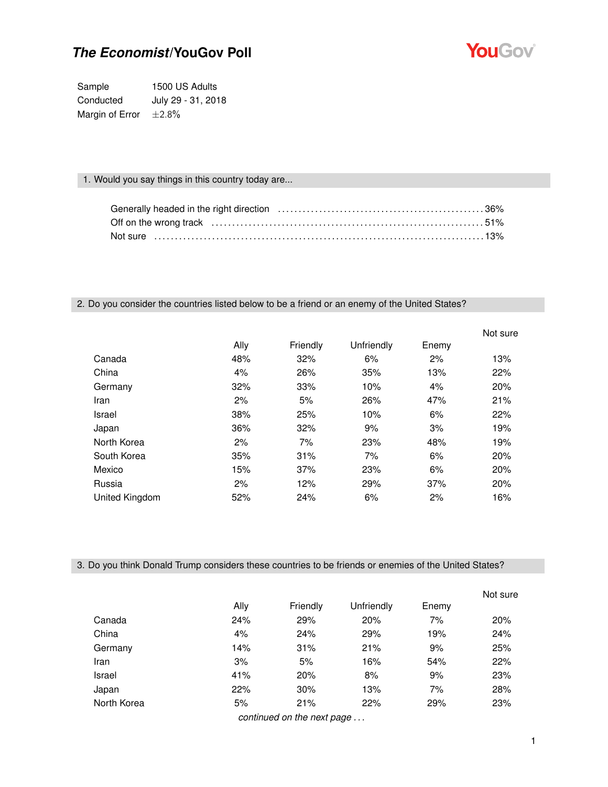

Sample 1500 US Adults Conducted July 29 - 31, 2018 Margin of Error  $\pm 2.8\%$ 

### 1. Would you say things in this country today are...

### 2. Do you consider the countries listed below to be a friend or an enemy of the United States?

|                |      |          |            |       | Not sure |
|----------------|------|----------|------------|-------|----------|
|                | Ally | Friendly | Unfriendly | Enemy |          |
| Canada         | 48%  | 32%      | 6%         | 2%    | 13%      |
| China          | 4%   | 26%      | 35%        | 13%   | 22%      |
| Germany        | 32%  | 33%      | 10%        | 4%    | 20%      |
| Iran           | 2%   | 5%       | 26%        | 47%   | 21%      |
| Israel         | 38%  | 25%      | 10%        | 6%    | 22%      |
| Japan          | 36%  | 32%      | 9%         | 3%    | 19%      |
| North Korea    | 2%   | 7%       | 23%        | 48%   | 19%      |
| South Korea    | 35%  | 31%      | 7%         | 6%    | 20%      |
| Mexico         | 15%  | 37%      | 23%        | 6%    | 20%      |
| Russia         | 2%   | 12%      | 29%        | 37%   | 20%      |
| United Kingdom | 52%  | 24%      | 6%         | 2%    | 16%      |

3. Do you think Donald Trump considers these countries to be friends or enemies of the United States?

|             |      |                            |            |       | Not sure |
|-------------|------|----------------------------|------------|-------|----------|
|             | Ally | Friendly                   | Unfriendly | Enemy |          |
| Canada      | 24%  | 29%                        | 20%        | 7%    | 20%      |
| China       | 4%   | 24%                        | 29%        | 19%   | 24%      |
| Germany     | 14%  | 31%                        | 21%        | 9%    | 25%      |
| Iran        | 3%   | 5%                         | 16%        | 54%   | 22%      |
| Israel      | 41%  | 20%                        | 8%         | 9%    | 23%      |
| Japan       | 22%  | 30%                        | 13%        | 7%    | 28%      |
| North Korea | 5%   | 21%                        | 22%        | 29%   | 23%      |
|             |      | continued on the port pore |            |       |          |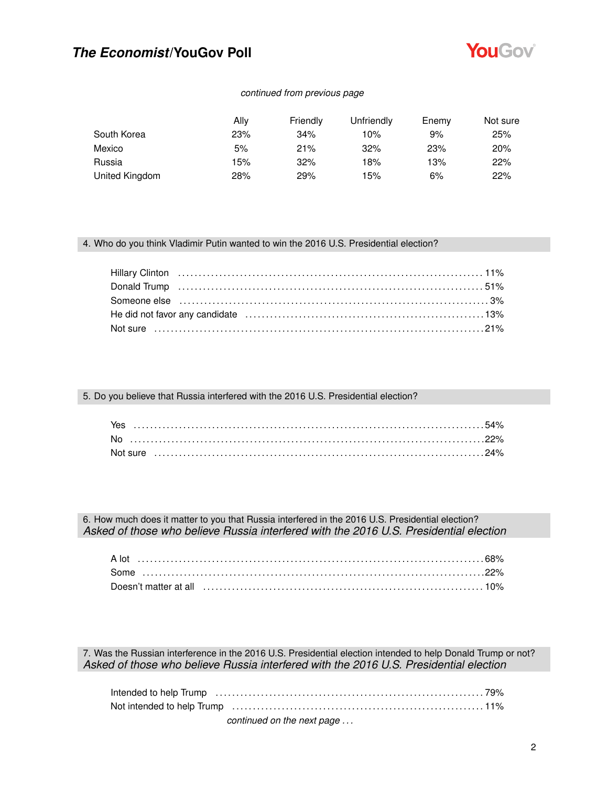

### *continued from previous page*

|                | Allv | Friendly | Unfriendly | Enemy | Not sure |
|----------------|------|----------|------------|-------|----------|
| South Korea    | 23%  | 34%      | 10%        | 9%    | 25%      |
| Mexico         | 5%   | 21%      | 32%        | 23%   | 20%      |
| Russia         | 15%  | 32%      | 18%        | 13%   | 22%      |
| United Kingdom | 28%  | 29%      | 15%        | 6%    | 22%      |

#### 4. Who do you think Vladimir Putin wanted to win the 2016 U.S. Presidential election?

#### 5. Do you believe that Russia interfered with the 2016 U.S. Presidential election?

| Yes       |  |  |  |  |  |  |  |  |  |  |  |  |  |  |  |  |  |  |  |  |  |  |  |  |  |  |
|-----------|--|--|--|--|--|--|--|--|--|--|--|--|--|--|--|--|--|--|--|--|--|--|--|--|--|--|
| <b>No</b> |  |  |  |  |  |  |  |  |  |  |  |  |  |  |  |  |  |  |  |  |  |  |  |  |  |  |
|           |  |  |  |  |  |  |  |  |  |  |  |  |  |  |  |  |  |  |  |  |  |  |  |  |  |  |

6. How much does it matter to you that Russia interfered in the 2016 U.S. Presidential election? *Asked of those who believe Russia interfered with the 2016 U.S. Presidential election*

7. Was the Russian interference in the 2016 U.S. Presidential election intended to help Donald Trump or not? *Asked of those who believe Russia interfered with the 2016 U.S. Presidential election*

| continued on the next page |  |
|----------------------------|--|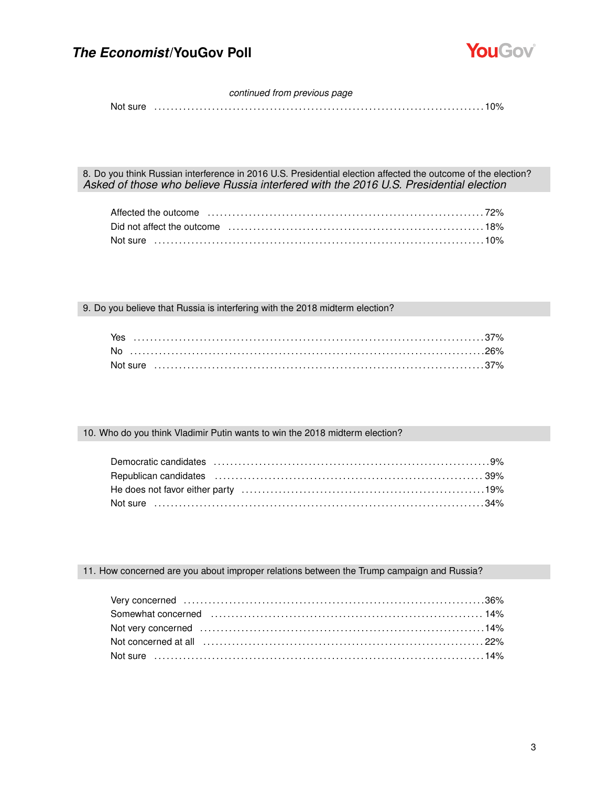

#### *continued from previous page*

Not sure . . . . . . . . . . . . . . . . . . . . . . . . . . . . . . . . . . . . . . . . . . . . . . . . . . . . . . . . . . . . . . . . . . . . . . . . . . . . . . . . 10%

8. Do you think Russian interference in 2016 U.S. Presidential election affected the outcome of the election? *Asked of those who believe Russia interfered with the 2016 U.S. Presidential election*

| Affected the outcome influence in the content of the content of the content of the content of the content of t                                                                                                                 |  |
|--------------------------------------------------------------------------------------------------------------------------------------------------------------------------------------------------------------------------------|--|
| Did not affect the outcome encounteral container and the original container and the outcome of the outcome of the state of the state of the state of the state of the state of the state of the state of the state of the stat |  |
| Not sure ……………………………………………………………………………………10%                                                                                                                                                                                   |  |

9. Do you believe that Russia is interfering with the 2018 midterm election?

| Yes       |  |
|-----------|--|
| <b>No</b> |  |
|           |  |

#### 10. Who do you think Vladimir Putin wants to win the 2018 midterm election?

### 11. How concerned are you about improper relations between the Trump campaign and Russia?

| Not concerned at all (all contains and all contains and all contains and all concerned at all all all all all $22\%$ |  |
|----------------------------------------------------------------------------------------------------------------------|--|
|                                                                                                                      |  |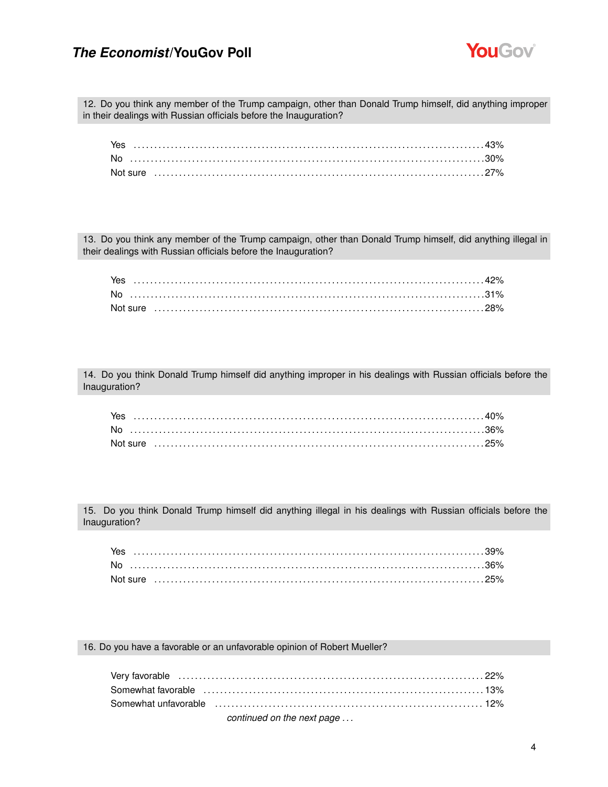

12. Do you think any member of the Trump campaign, other than Donald Trump himself, did anything improper in their dealings with Russian officials before the Inauguration?

| Yes |  |
|-----|--|
|     |  |
|     |  |

13. Do you think any member of the Trump campaign, other than Donald Trump himself, did anything illegal in their dealings with Russian officials before the Inauguration?

| Yes       |  |  |  |  |  |  |  |  |  |  |  |  |  |  |  |  |  |  |  |  |  |  |
|-----------|--|--|--|--|--|--|--|--|--|--|--|--|--|--|--|--|--|--|--|--|--|--|
| <b>No</b> |  |  |  |  |  |  |  |  |  |  |  |  |  |  |  |  |  |  |  |  |  |  |
|           |  |  |  |  |  |  |  |  |  |  |  |  |  |  |  |  |  |  |  |  |  |  |

14. Do you think Donald Trump himself did anything improper in his dealings with Russian officials before the Inauguration?

15. Do you think Donald Trump himself did anything illegal in his dealings with Russian officials before the Inauguration?

| Yes |  |  |  |  |  |  |  |  |  |  |  |  |  |  |  |  |  |  |  |  |  |  |  |  |  |
|-----|--|--|--|--|--|--|--|--|--|--|--|--|--|--|--|--|--|--|--|--|--|--|--|--|--|
| No. |  |  |  |  |  |  |  |  |  |  |  |  |  |  |  |  |  |  |  |  |  |  |  |  |  |
|     |  |  |  |  |  |  |  |  |  |  |  |  |  |  |  |  |  |  |  |  |  |  |  |  |  |

16. Do you have a favorable or an unfavorable opinion of Robert Mueller?

| Somewhat favorable (a) contain and the contract of the contract of the state of the state of the state of the s |  |
|-----------------------------------------------------------------------------------------------------------------|--|
|                                                                                                                 |  |
| continued on the next page                                                                                      |  |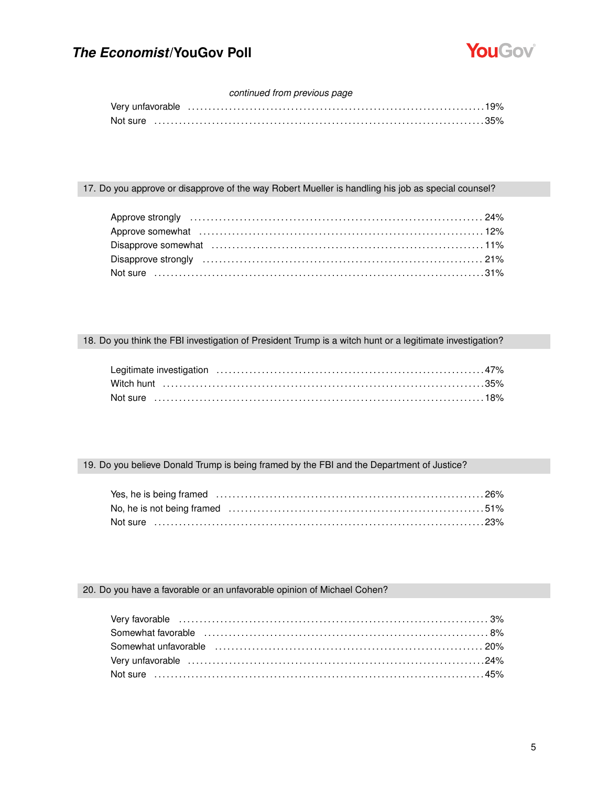

### *continued from previous page*

| Very unfavorable …………………………………………………………………………19% |  |
|--------------------------------------------------|--|
|                                                  |  |

### 17. Do you approve or disapprove of the way Robert Mueller is handling his job as special counsel?

### 18. Do you think the FBI investigation of President Trump is a witch hunt or a legitimate investigation?

| Not sure …………………………………………………………………………………18% |  |
|---------------------------------------------|--|

### 19. Do you believe Donald Trump is being framed by the FBI and the Department of Justice?

### 20. Do you have a favorable or an unfavorable opinion of Michael Cohen?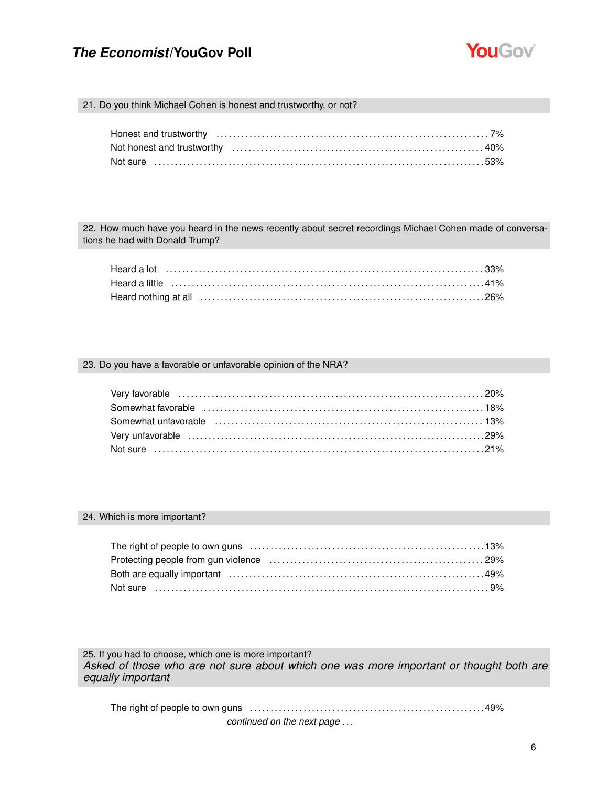

21. Do you think Michael Cohen is honest and trustworthy, or not?

| Not sure …………………………………………………………………………………53% |  |
|---------------------------------------------|--|

22. How much have you heard in the news recently about secret recordings Michael Cohen made of conversations he had with Donald Trump?

#### 23. Do you have a favorable or unfavorable opinion of the NRA?

| Somewhat favorable (all contains and contained a state of the state of the state of the state of the state of t |  |
|-----------------------------------------------------------------------------------------------------------------|--|
| Somewhat unfavorable (all contains and contained a state of the state of the state of the state of the state o  |  |
|                                                                                                                 |  |
|                                                                                                                 |  |

#### 24. Which is more important?

25. If you had to choose, which one is more important? *Asked of those who are not sure about which one was more important or thought both are equally important*

The right of people to own guns . . . . . . . . . . . . . . . . . . . . . . . . . . . . . . . . . . . . . . . . . . . . . . . . . . . . . . . . .49% *continued on the next page . . .*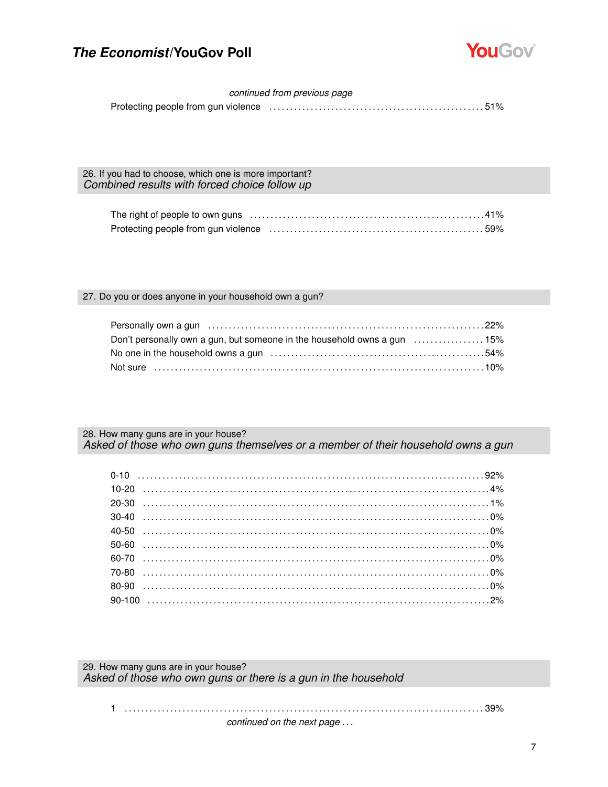

### *continued from previous page*

Protecting people from gun violence . . . . . . . . . . . . . . . . . . . . . . . . . . . . . . . . . . . . . . . . . . . . . . . . . . . . 51%

26. If you had to choose, which one is more important? *Combined results with forced choice follow up*

### 27. Do you or does anyone in your household own a gun?

| Don't personally own a gun, but someone in the household owns a gun  15% |  |
|--------------------------------------------------------------------------|--|
|                                                                          |  |
|                                                                          |  |

28. How many guns are in your house? *Asked of those who own guns themselves or a member of their household owns a gun*

29. How many guns are in your house? *Asked of those who own guns or there is a gun in the household*

1 . . . . . . . . . . . . . . . . . . . . . . . . . . . . . . . . . . . . . . . . . . . . . . . . . . . . . . . . . . . . . . . . . . . . . . . . . . . . . . . . . . . . . . . 39% *continued on the next page . . .*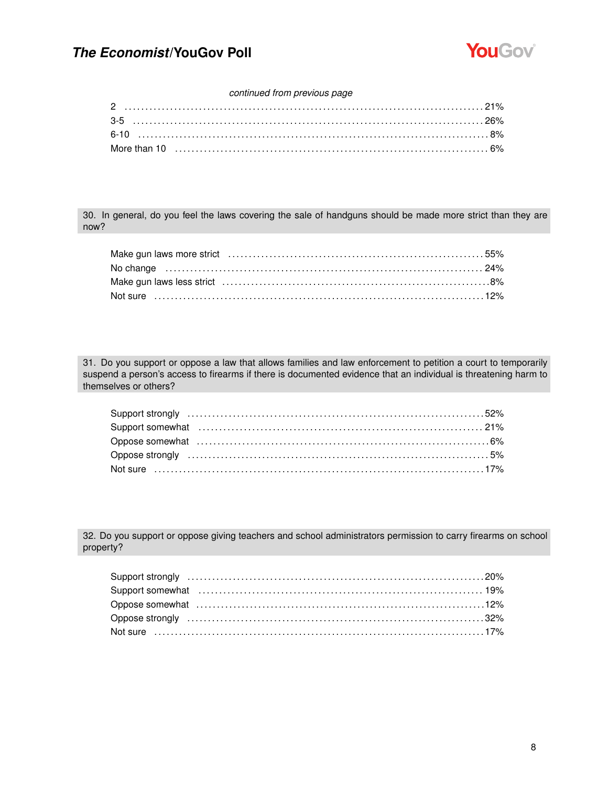

### *continued from previous page*

30. In general, do you feel the laws covering the sale of handguns should be made more strict than they are now?

31. Do you support or oppose a law that allows families and law enforcement to petition a court to temporarily suspend a person's access to firearms if there is documented evidence that an individual is threatening harm to themselves or others?

32. Do you support or oppose giving teachers and school administrators permission to carry firearms on school property?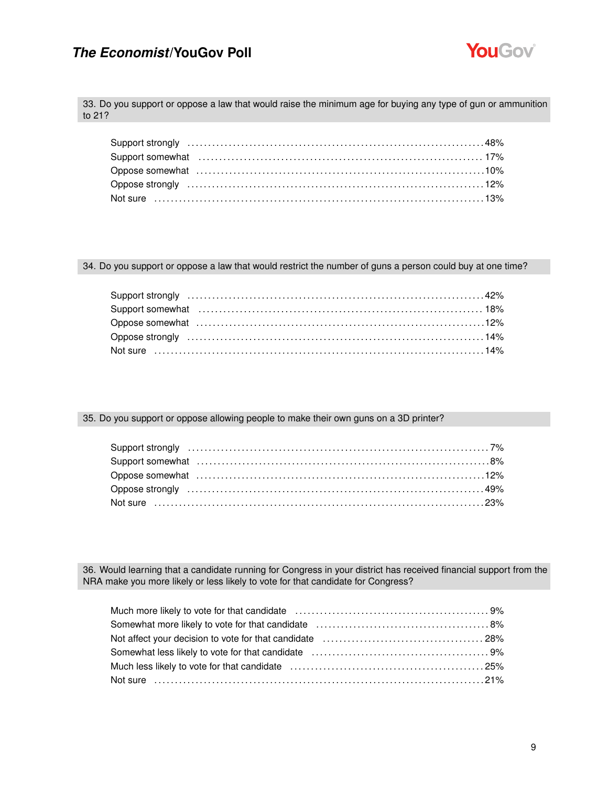

33. Do you support or oppose a law that would raise the minimum age for buying any type of gun or ammunition to 21?

34. Do you support or oppose a law that would restrict the number of guns a person could buy at one time?

| Support somewhat (and the control of the control of the control of the control of the control of the control o |  |
|----------------------------------------------------------------------------------------------------------------|--|
|                                                                                                                |  |
|                                                                                                                |  |
|                                                                                                                |  |

### 35. Do you support or oppose allowing people to make their own guns on a 3D printer?

36. Would learning that a candidate running for Congress in your district has received financial support from the NRA make you more likely or less likely to vote for that candidate for Congress?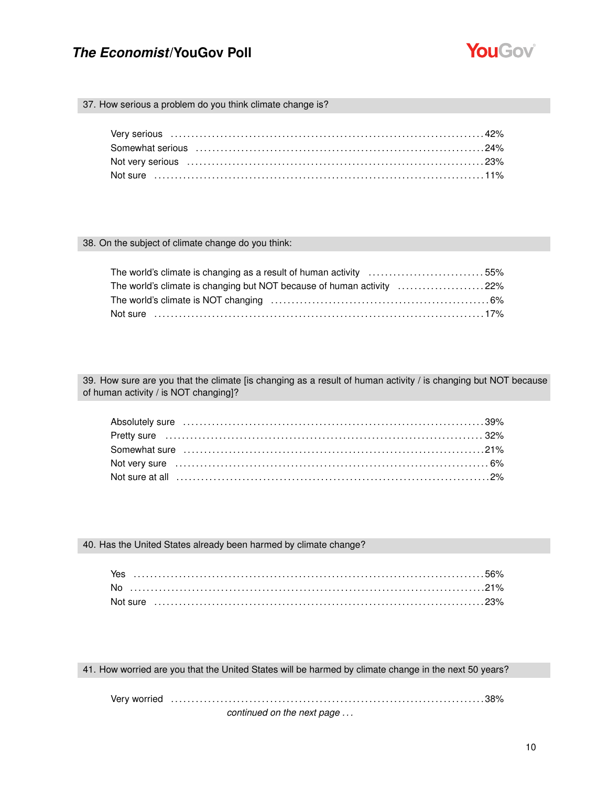

37. How serious a problem do you think climate change is?

#### 38. On the subject of climate change do you think:

| The world's climate is changing as a result of human activity 55%     |  |
|-----------------------------------------------------------------------|--|
| The world's climate is changing but NOT because of human activity 22% |  |
|                                                                       |  |
| Not sure ……………………………………………………………………………………17%                          |  |

39. How sure are you that the climate [is changing as a result of human activity / is changing but NOT because of human activity / is NOT changing]?

40. Has the United States already been harmed by climate change?

| Yes |  |
|-----|--|
|     |  |
|     |  |

41. How worried are you that the United States will be harmed by climate change in the next 50 years?

Very worried . . . . . . . . . . . . . . . . . . . . . . . . . . . . . . . . . . . . . . . . . . . . . . . . . . . . . . . . . . . . . . . . . . . . . . . . . . . . 38%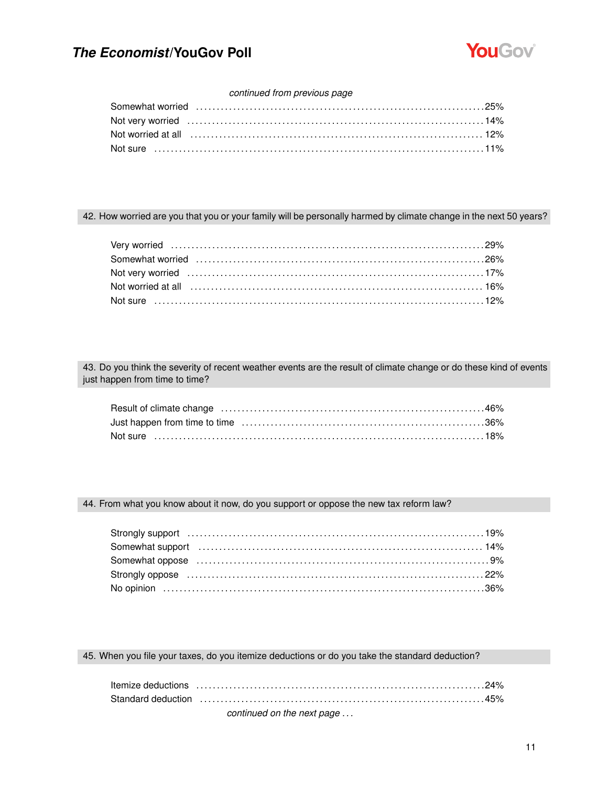

### *continued from previous page*

| Not worried at all encourance contained and manufacture and the state of the state of the state of the state o |  |
|----------------------------------------------------------------------------------------------------------------|--|
|                                                                                                                |  |
|                                                                                                                |  |

### 42. How worried are you that you or your family will be personally harmed by climate change in the next 50 years?

43. Do you think the severity of recent weather events are the result of climate change or do these kind of events just happen from time to time?

#### 44. From what you know about it now, do you support or oppose the new tax reform law?

| Somewhat support (and the continuum control of the control of the control of the control of the control of the control of the control of the control of the control of the control of the control of the control of the contro |  |
|--------------------------------------------------------------------------------------------------------------------------------------------------------------------------------------------------------------------------------|--|
|                                                                                                                                                                                                                                |  |
|                                                                                                                                                                                                                                |  |
|                                                                                                                                                                                                                                |  |

45. When you file your taxes, do you itemize deductions or do you take the standard deduction?

| continued on the next nage |  |
|----------------------------|--|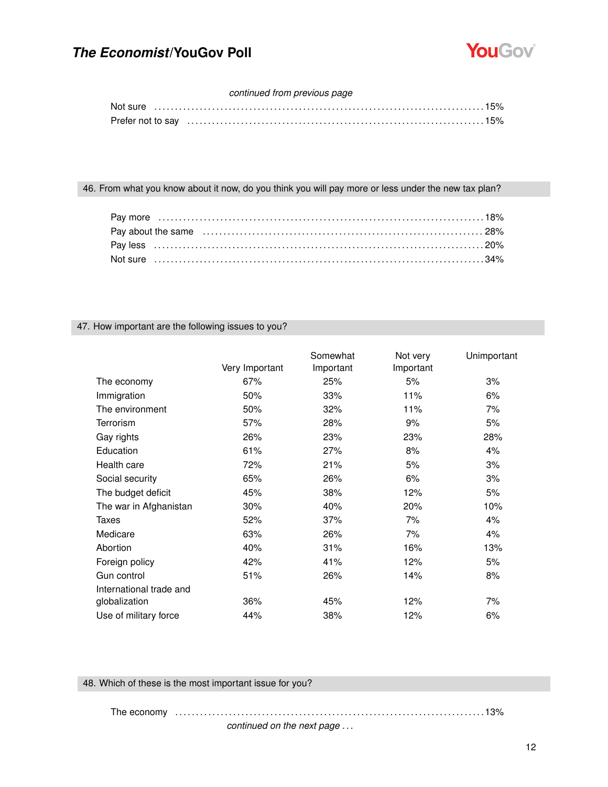

### *continued from previous page*

|  |  |  | Not sure   ………………………………………………………………………………………15% |
|--|--|--|-------------------------------------------------|
|  |  |  |                                                 |

### 46. From what you know about it now, do you think you will pay more or less under the new tax plan?

### 47. How important are the following issues to you?

|                         | Very Important | Somewhat<br>Important | Not very<br>Important | Unimportant |
|-------------------------|----------------|-----------------------|-----------------------|-------------|
| The economy             | 67%            | 25%                   | 5%                    | 3%          |
| Immigration             | 50%            | 33%                   | 11%                   | 6%          |
| The environment         | 50%            | 32%                   | 11%                   | 7%          |
| <b>Terrorism</b>        | 57%            | 28%                   | 9%                    | 5%          |
| Gay rights              | 26%            | 23%                   | 23%                   | 28%         |
| Education               | 61%            | 27%                   | 8%                    | 4%          |
| Health care             | 72%            | 21%                   | 5%                    | 3%          |
| Social security         | 65%            | 26%                   | 6%                    | 3%          |
| The budget deficit      | 45%            | 38%                   | 12%                   | 5%          |
| The war in Afghanistan  | 30%            | 40%                   | 20%                   | 10%         |
| Taxes                   | 52%            | 37%                   | 7%                    | 4%          |
| Medicare                | 63%            | 26%                   | 7%                    | 4%          |
| Abortion                | 40%            | 31%                   | 16%                   | 13%         |
| Foreign policy          | 42%            | 41%                   | 12%                   | 5%          |
| Gun control             | 51%            | 26%                   | 14%                   | 8%          |
| International trade and |                |                       |                       |             |
| globalization           | 36%            | 45%                   | 12%                   | 7%          |
| Use of military force   | 44%            | 38%                   | 12%                   | 6%          |

### 48. Which of these is the most important issue for you?

### The economy . . . . . . . . . . . . . . . . . . . . . . . . . . . . . . . . . . . . . . . . . . . . . . . . . . . . . . . . . . . . . . . . . . . . . . . . . . . 13%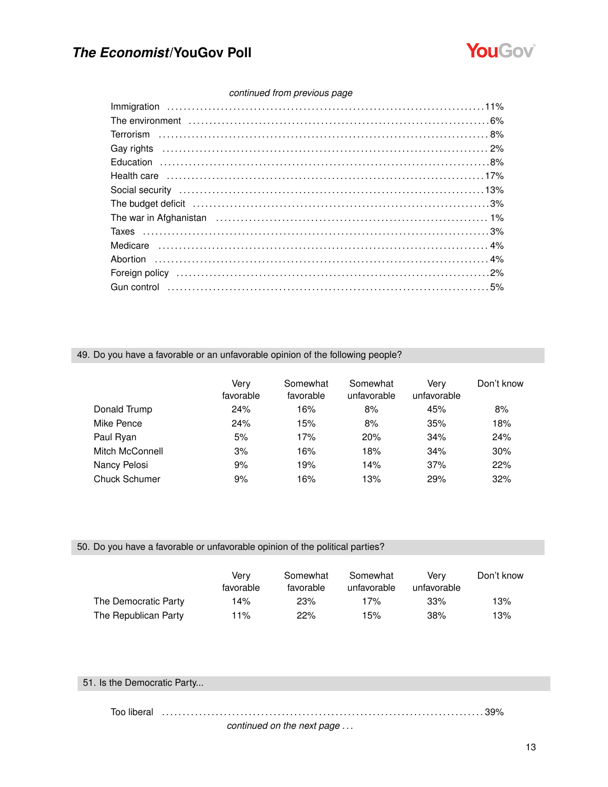

### *continued from previous page*

| Gay rights (a) and the control of the control of the control of the control of the control of the control of the control of the control of the control of the control of the control of the control of the control of the cont |  |
|--------------------------------------------------------------------------------------------------------------------------------------------------------------------------------------------------------------------------------|--|
|                                                                                                                                                                                                                                |  |
|                                                                                                                                                                                                                                |  |
|                                                                                                                                                                                                                                |  |
| The budget deficit (and according to the budget deficit (and according to the budget deficit (and according to the budget deficit (and $3\%$                                                                                   |  |
|                                                                                                                                                                                                                                |  |
|                                                                                                                                                                                                                                |  |
|                                                                                                                                                                                                                                |  |
|                                                                                                                                                                                                                                |  |
|                                                                                                                                                                                                                                |  |
|                                                                                                                                                                                                                                |  |
|                                                                                                                                                                                                                                |  |

### 49. Do you have a favorable or an unfavorable opinion of the following people?

|                      | Verv<br>favorable | Somewhat<br>favorable | Somewhat<br>unfavorable | Verv<br>unfavorable | Don't know |
|----------------------|-------------------|-----------------------|-------------------------|---------------------|------------|
| Donald Trump         | 24%               | 16%                   | 8%                      | 45%                 | 8%         |
| Mike Pence           | 24%               | 15%                   | 8%                      | 35%                 | 18%        |
| Paul Ryan            | 5%                | 17%                   | 20%                     | 34%                 | 24%        |
| Mitch McConnell      | 3%                | 16%                   | 18%                     | 34%                 | 30%        |
| Nancy Pelosi         | 9%                | 19%                   | 14%                     | 37%                 | 22%        |
| <b>Chuck Schumer</b> | 9%                | 16%                   | 13%                     | 29%                 | 32%        |

### 50. Do you have a favorable or unfavorable opinion of the political parties?

|                      | Verv<br>favorable | Somewhat<br>favorable | Somewhat<br>unfavorable | Verv<br>unfavorable | Don't know |
|----------------------|-------------------|-----------------------|-------------------------|---------------------|------------|
| The Democratic Party | 14%               | 23%                   | 17%                     | 33%                 | 13%        |
| The Republican Party | 11%               | 22%                   | 15%                     | 38%                 | 13%        |

### 51. Is the Democratic Party...

Too liberal . . . . . . . . . . . . . . . . . . . . . . . . . . . . . . . . . . . . . . . . . . . . . . . . . . . . . . . . . . . . . . . . . . . . . . . . . . . . . . 39%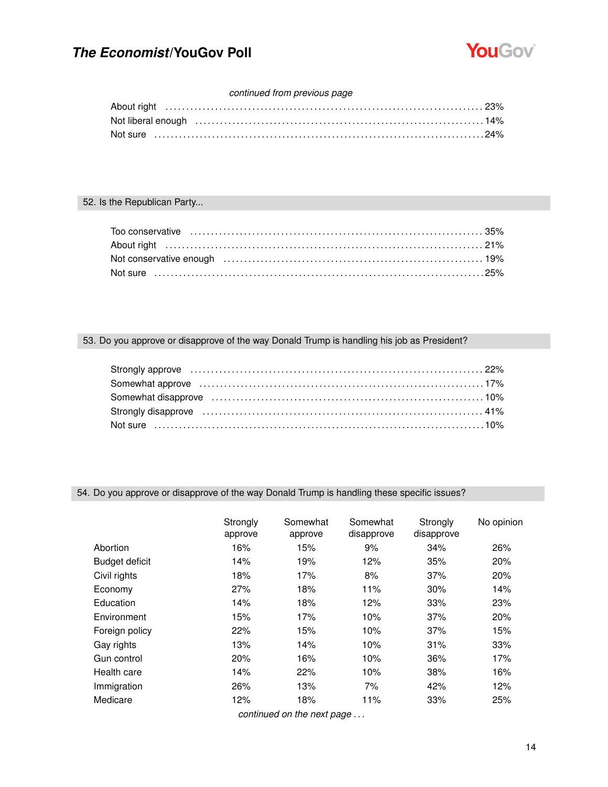

### *continued from previous page*

| Not liberal enough entitled and the control of the control of the control of the control of the control of the control of the control of the control of the control of the control of the control of the control of the contro |  |
|--------------------------------------------------------------------------------------------------------------------------------------------------------------------------------------------------------------------------------|--|
|                                                                                                                                                                                                                                |  |

### 52. Is the Republican Party...

## 53. Do you approve or disapprove of the way Donald Trump is handling his job as President?

| Strongly disapprove (all according to the control of the strongly disapprove and the strongly disapprove and the strong strong strong to the strong strong strong strong strong strong strong strong strong strong strong stro |  |
|--------------------------------------------------------------------------------------------------------------------------------------------------------------------------------------------------------------------------------|--|
|                                                                                                                                                                                                                                |  |

### 54. Do you approve or disapprove of the way Donald Trump is handling these specific issues?

|                       | Strongly<br>approve | Somewhat<br>approve            | Somewhat<br>disapprove | Strongly<br>disapprove | No opinion |
|-----------------------|---------------------|--------------------------------|------------------------|------------------------|------------|
| Abortion              | 16%                 | 15%                            | 9%                     | 34%                    | 26%        |
| <b>Budget deficit</b> | 14%                 | 19%                            | 12%                    | 35%                    | 20%        |
| Civil rights          | 18%                 | 17%                            | 8%                     | 37%                    | 20%        |
| Economy               | 27%                 | 18%                            | 11%                    | 30%                    | 14%        |
| Education             | 14%                 | 18%                            | 12%                    | 33%                    | 23%        |
| Environment           | 15%                 | 17%                            | 10%                    | 37%                    | 20%        |
| Foreign policy        | 22%                 | 15%                            | 10%                    | 37%                    | 15%        |
| Gay rights            | 13%                 | 14%                            | 10%                    | 31%                    | 33%        |
| Gun control           | 20%                 | 16%                            | 10%                    | 36%                    | 17%        |
| Health care           | 14%                 | 22%                            | 10%                    | 38%                    | 16%        |
| Immigration           | 26%                 | 13%                            | 7%                     | 42%                    | 12%        |
| Medicare              | 12%                 | 18%                            | 11%                    | 33%                    | 25%        |
|                       |                     | senting and so the sent second |                        |                        |            |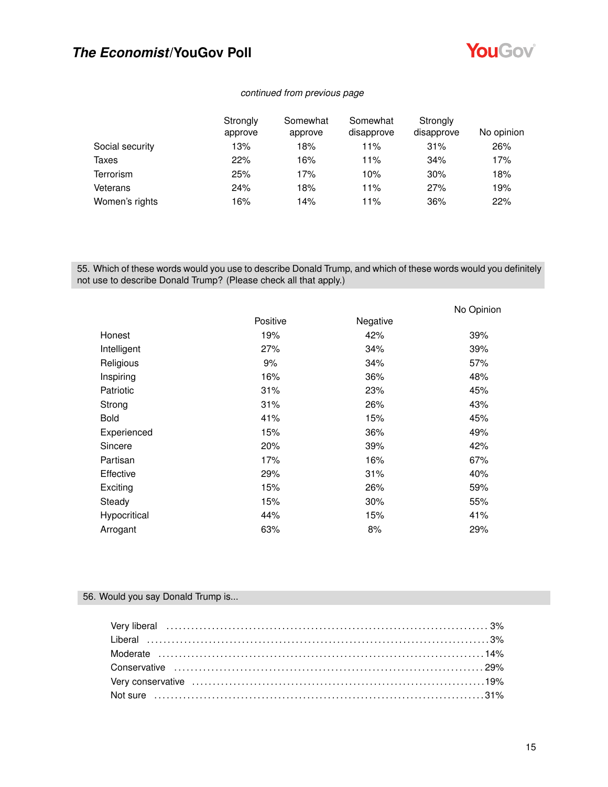

### *continued from previous page*

|                 | Strongly<br>approve | Somewhat<br>approve | Somewhat<br>disapprove | Strongly<br>disapprove | No opinion |
|-----------------|---------------------|---------------------|------------------------|------------------------|------------|
| Social security | 13%                 | 18%                 | 11%                    | 31%                    | 26%        |
| Taxes           | 22%                 | 16%                 | 11%                    | 34%                    | 17%        |
| Terrorism       | 25%                 | 17%                 | 10%                    | 30%                    | 18%        |
| Veterans        | 24%                 | 18%                 | 11%                    | 27%                    | 19%        |
| Women's rights  | 16%                 | 14%                 | 11%                    | 36%                    | 22%        |

55. Which of these words would you use to describe Donald Trump, and which of these words would you definitely not use to describe Donald Trump? (Please check all that apply.)

|              |          |          | No Opinion |
|--------------|----------|----------|------------|
|              | Positive | Negative |            |
| Honest       | 19%      | 42%      | 39%        |
| Intelligent  | 27%      | 34%      | 39%        |
| Religious    | 9%       | 34%      | 57%        |
| Inspiring    | 16%      | 36%      | 48%        |
| Patriotic    | 31%      | 23%      | 45%        |
| Strong       | 31%      | 26%      | 43%        |
| <b>Bold</b>  | 41%      | 15%      | 45%        |
| Experienced  | 15%      | 36%      | 49%        |
| Sincere      | 20%      | 39%      | 42%        |
| Partisan     | 17%      | 16%      | 67%        |
| Effective    | 29%      | 31%      | 40%        |
| Exciting     | 15%      | 26%      | 59%        |
| Steady       | 15%      | 30%      | 55%        |
| Hypocritical | 44%      | 15%      | 41%        |
| Arrogant     | 63%      | 8%       | 29%        |

### 56. Would you say Donald Trump is...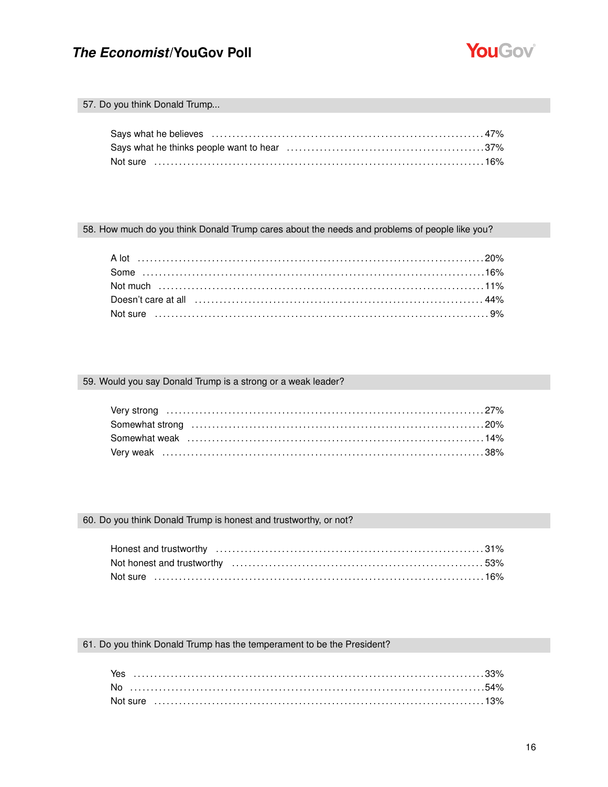

### 57. Do you think Donald Trump...

| Not sure ………………………………………………………………………………16% |  |
|--------------------------------------------|--|

58. How much do you think Donald Trump cares about the needs and problems of people like you?

### 59. Would you say Donald Trump is a strong or a weak leader?

### 60. Do you think Donald Trump is honest and trustworthy, or not?

| Not honest and trustworthy measurement contains the control of the state of $53\%$ |  |
|------------------------------------------------------------------------------------|--|
|                                                                                    |  |

### 61. Do you think Donald Trump has the temperament to be the President?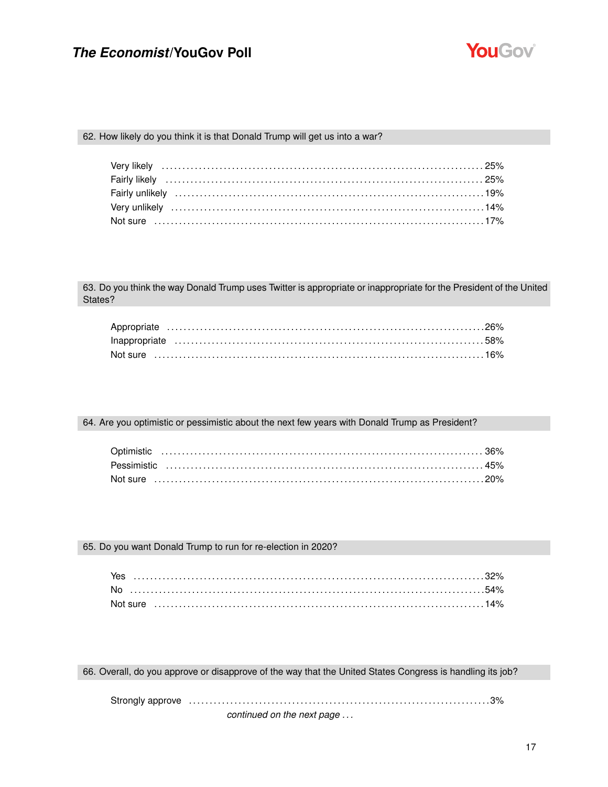

### 62. How likely do you think it is that Donald Trump will get us into a war?

63. Do you think the way Donald Trump uses Twitter is appropriate or inappropriate for the President of the United States?

| Not sure …………………………………………………………………………………16% |  |
|---------------------------------------------|--|

64. Are you optimistic or pessimistic about the next few years with Donald Trump as President?

### 65. Do you want Donald Trump to run for re-election in 2020?

66. Overall, do you approve or disapprove of the way that the United States Congress is handling its job?

Strongly approve . . . . . . . . . . . . . . . . . . . . . . . . . . . . . . . . . . . . . . . . . . . . . . . . . . . . . . . . . . . . . . . . . . . . . . . . .3%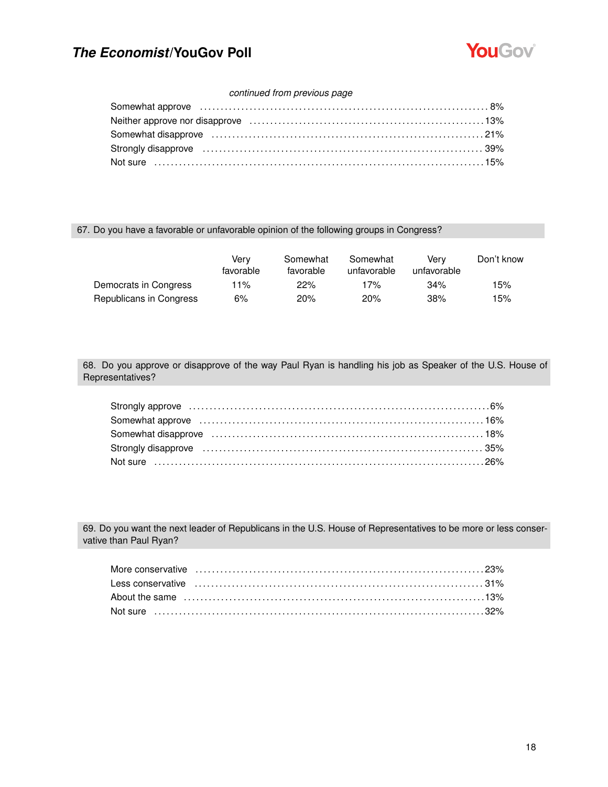

### *continued from previous page*

| 8% Somewhat approve excession contracts and contracts are contracted as a set of the set of the set of the set of the set of the set of the set of the set of the set of the set of the set of the set of the set of the set o |  |
|--------------------------------------------------------------------------------------------------------------------------------------------------------------------------------------------------------------------------------|--|
|                                                                                                                                                                                                                                |  |
|                                                                                                                                                                                                                                |  |
|                                                                                                                                                                                                                                |  |
|                                                                                                                                                                                                                                |  |

### 67. Do you have a favorable or unfavorable opinion of the following groups in Congress?

|                         | Verv<br>favorable | Somewhat<br>favorable | Somewhat<br>unfavorable | Verv<br>unfavorable | Don't know |
|-------------------------|-------------------|-----------------------|-------------------------|---------------------|------------|
| Democrats in Congress   | 11%               | 22%                   | 17%                     | 34%                 | 15%        |
| Republicans in Congress | 6%                | 20%                   | 20%                     | 38%                 | 15%        |

68. Do you approve or disapprove of the way Paul Ryan is handling his job as Speaker of the U.S. House of Representatives?

| Somewhat approve increases in the contract of the state of the state of the state of the state of the state of the state of the state of the state of the state of the state of the state of the state of the state of the sta |  |
|--------------------------------------------------------------------------------------------------------------------------------------------------------------------------------------------------------------------------------|--|
|                                                                                                                                                                                                                                |  |
| Strongly disapprove (all accordinations) and the strongly disapprove (contained a strongly disapprove (contain                                                                                                                 |  |
|                                                                                                                                                                                                                                |  |

69. Do you want the next leader of Republicans in the U.S. House of Representatives to be more or less conservative than Paul Ryan?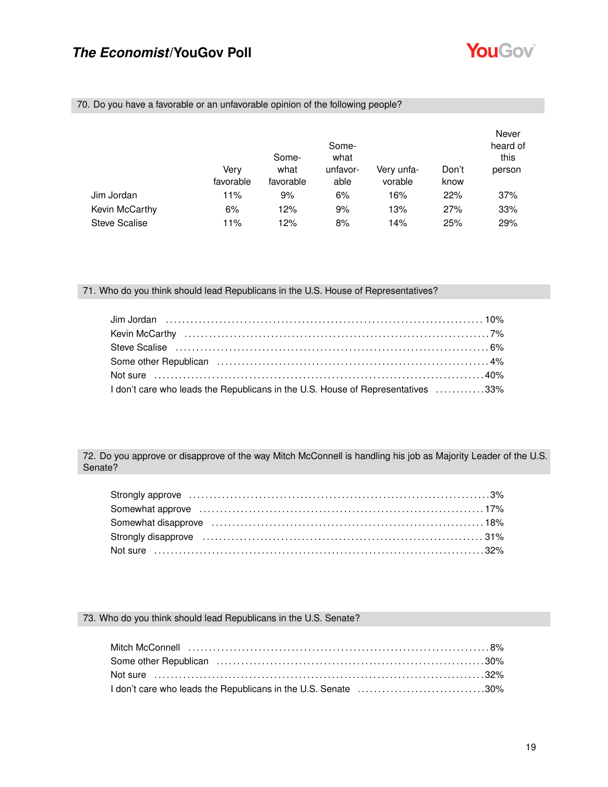

| 70. Do you have a favorable or an unfavorable opinion of the following people? |
|--------------------------------------------------------------------------------|
|--------------------------------------------------------------------------------|

|                      |                   | Some-             | Some-<br>what    |                       |               | Never<br>heard of<br>this |
|----------------------|-------------------|-------------------|------------------|-----------------------|---------------|---------------------------|
|                      | Very<br>favorable | what<br>favorable | unfavor-<br>able | Very unfa-<br>vorable | Don't<br>know | person                    |
| Jim Jordan           | 11%               | 9%                | 6%               | 16%                   | 22%           | 37%                       |
| Kevin McCarthy       | 6%                | 12%               | 9%               | 13%                   | 27%           | 33%                       |
| <b>Steve Scalise</b> | 11%               | 12%               | 8%               | 14%                   | 25%           | 29%                       |

### 71. Who do you think should lead Republicans in the U.S. House of Representatives?

| Kevin McCarthy (and according to the control of the control of the control of the control of the control of the control of the control of the control of the control of the control of the control of the control of the contr |  |
|--------------------------------------------------------------------------------------------------------------------------------------------------------------------------------------------------------------------------------|--|
|                                                                                                                                                                                                                                |  |
|                                                                                                                                                                                                                                |  |
|                                                                                                                                                                                                                                |  |
| I don't care who leads the Republicans in the U.S. House of Representatives 33%                                                                                                                                                |  |

72. Do you approve or disapprove of the way Mitch McConnell is handling his job as Majority Leader of the U.S. Senate?

| Strongly disapprove (all accordination of the strongle of the strongly disapprove and the strongle of the strongle of the strongle strongle strongle strongle strongle strongle strongle strongle strongle strongle strongle s |  |
|--------------------------------------------------------------------------------------------------------------------------------------------------------------------------------------------------------------------------------|--|
|                                                                                                                                                                                                                                |  |

## 73. Who do you think should lead Republicans in the U.S. Senate?

| I don't care who leads the Republicans in the U.S. Senate 30% |  |
|---------------------------------------------------------------|--|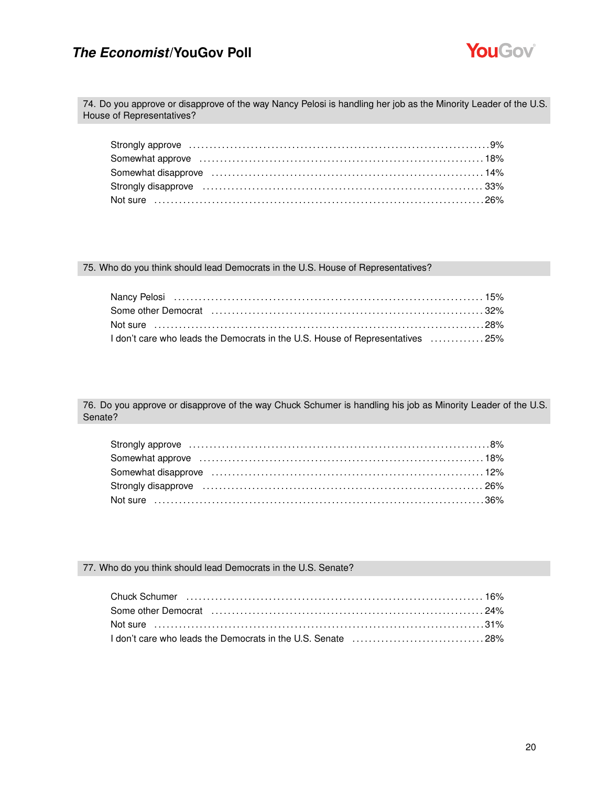

74. Do you approve or disapprove of the way Nancy Pelosi is handling her job as the Minority Leader of the U.S. House of Representatives?

| Somewhat approve increases in the contract of the state of the state of the state of the state of the state of the state of the state of the state of the state of the state of the state of the state of the state of the sta |  |
|--------------------------------------------------------------------------------------------------------------------------------------------------------------------------------------------------------------------------------|--|
|                                                                                                                                                                                                                                |  |
|                                                                                                                                                                                                                                |  |
|                                                                                                                                                                                                                                |  |

### 75. Who do you think should lead Democrats in the U.S. House of Representatives?

| Nancy Pelosi (and according to the control of the control of the control of the control of the control of the c |  |
|-----------------------------------------------------------------------------------------------------------------|--|
|                                                                                                                 |  |
|                                                                                                                 |  |
| I don't care who leads the Democrats in the U.S. House of Representatives 25%                                   |  |

76. Do you approve or disapprove of the way Chuck Schumer is handling his job as Minority Leader of the U.S. Senate?

| Somewhat approve (all according to the control of the state of the state of the state of the state of the state of the state of the state of the state of the state of the state of the state of the state of the state of the |  |
|--------------------------------------------------------------------------------------------------------------------------------------------------------------------------------------------------------------------------------|--|
|                                                                                                                                                                                                                                |  |
| Strongly disapprove matures and the control of the strongly disapprove matures are sensitively sensitively and $26\%$                                                                                                          |  |
|                                                                                                                                                                                                                                |  |

### 77. Who do you think should lead Democrats in the U.S. Senate?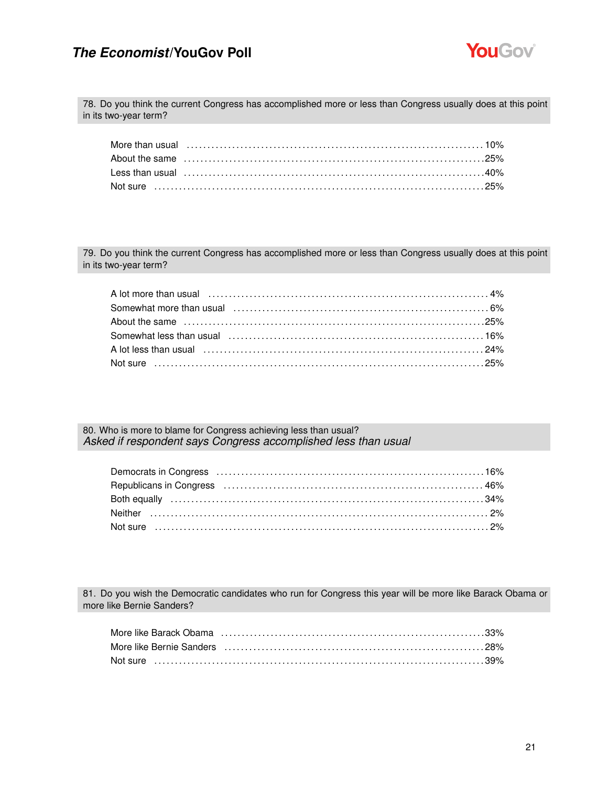

78. Do you think the current Congress has accomplished more or less than Congress usually does at this point in its two-year term?

| More than usual (all the continuum control of the control of the control of the control of the control of the control of the control of the control of the control of the control of the control of the control of the control |  |  |  |  |  |  |  |  |  |  |
|--------------------------------------------------------------------------------------------------------------------------------------------------------------------------------------------------------------------------------|--|--|--|--|--|--|--|--|--|--|
|                                                                                                                                                                                                                                |  |  |  |  |  |  |  |  |  |  |
|                                                                                                                                                                                                                                |  |  |  |  |  |  |  |  |  |  |
|                                                                                                                                                                                                                                |  |  |  |  |  |  |  |  |  |  |

79. Do you think the current Congress has accomplished more or less than Congress usually does at this point in its two-year term?

| A lot less than usual (a) and the control of the control of the control of the control of the control of the c |  |
|----------------------------------------------------------------------------------------------------------------|--|
|                                                                                                                |  |

80. Who is more to blame for Congress achieving less than usual? *Asked if respondent says Congress accomplished less than usual*

| Republicans in Congress (all accommunications) and according to the Association of the Republicans in Congress |  |
|----------------------------------------------------------------------------------------------------------------|--|
|                                                                                                                |  |
|                                                                                                                |  |
|                                                                                                                |  |

81. Do you wish the Democratic candidates who run for Congress this year will be more like Barack Obama or more like Bernie Sanders?

| More like Bernie Sanders (and according to the control of the Sandy Table 18%) |  |
|--------------------------------------------------------------------------------|--|
|                                                                                |  |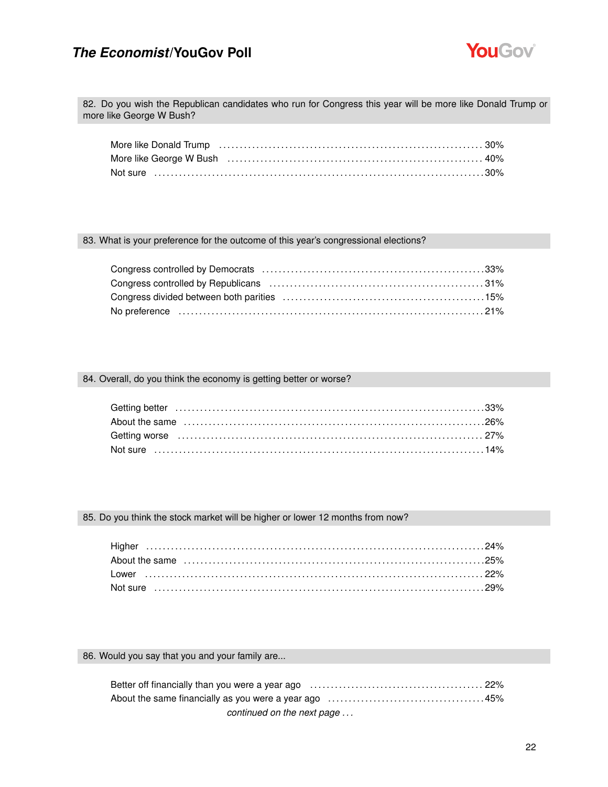

82. Do you wish the Republican candidates who run for Congress this year will be more like Donald Trump or more like George W Bush?

| More like George W Bush (and the content of the content of the content of the 40%) |  |
|------------------------------------------------------------------------------------|--|
|                                                                                    |  |

### 83. What is your preference for the outcome of this year's congressional elections?

### 84. Overall, do you think the economy is getting better or worse?

### 85. Do you think the stock market will be higher or lower 12 months from now?

### 86. Would you say that you and your family are...

| continued on the next page |
|----------------------------|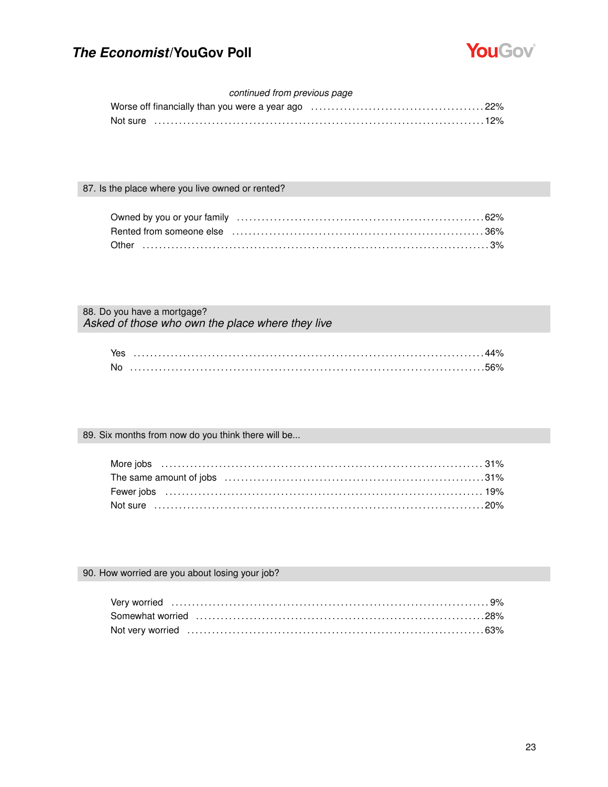

### continued from previous page

|  |  |  |  | Worse off financially than you were a year ago witcom contracts contracts and 22% |  |
|--|--|--|--|-----------------------------------------------------------------------------------|--|
|  |  |  |  | Not sure …………………………………………………………………………………12%                                       |  |

### 87. Is the place where you live owned or rented?

### 88. Do you have a mortgage? Asked of those who own the place where they live

| No |  |
|----|--|

### 89. Six months from now do you think there will be...

### 90. How worried are you about losing your job?

| Not very worried contain and the contact of the contact of the contact of the contact of $63\%$ |  |
|-------------------------------------------------------------------------------------------------|--|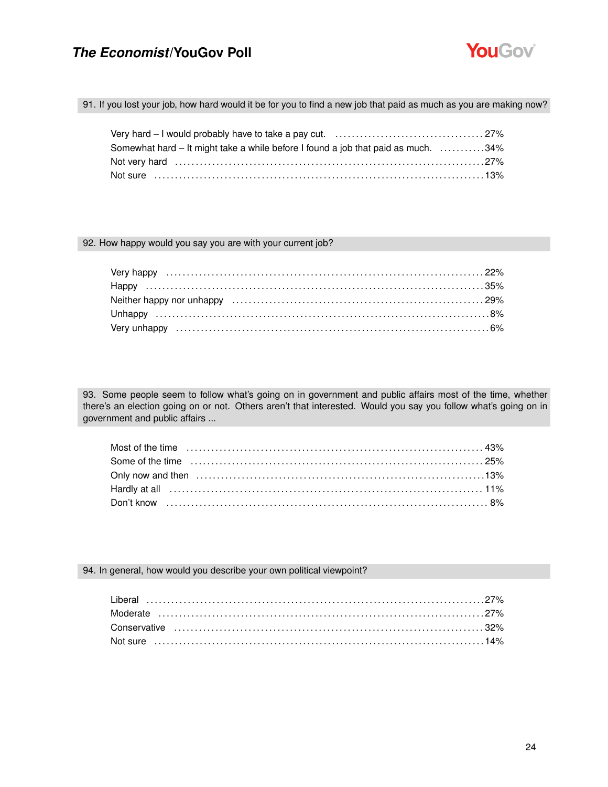

91. If you lost your job, how hard would it be for you to find a new job that paid as much as you are making now?

| Somewhat hard – It might take a while before I found a job that paid as much. 34% |  |
|-----------------------------------------------------------------------------------|--|
|                                                                                   |  |
| Not sure ………………………………………………………………………………………13%                                     |  |

#### 92. How happy would you say you are with your current job?

93. Some people seem to follow what's going on in government and public affairs most of the time, whether there's an election going on or not. Others aren't that interested. Would you say you follow what's going on in government and public affairs ...

### 94. In general, how would you describe your own political viewpoint?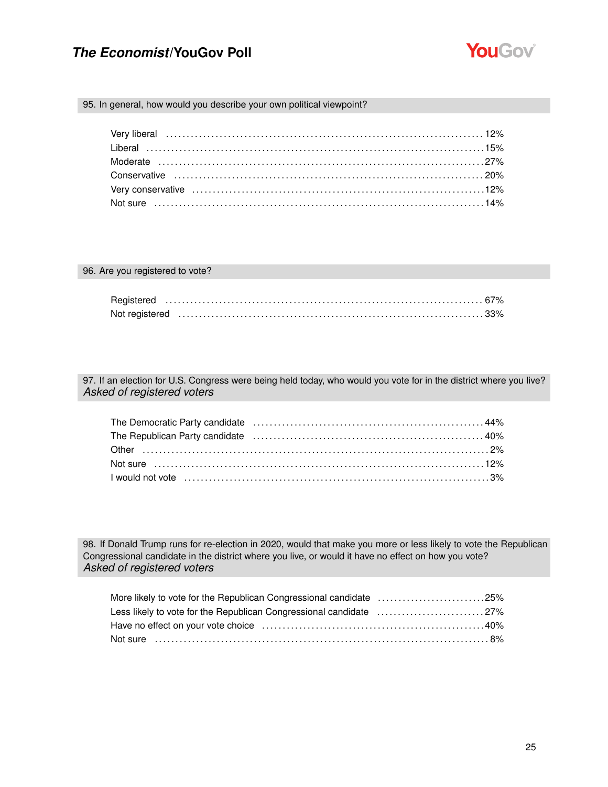

### 95. In general, how would you describe your own political viewpoint?

### 96. Are you registered to vote?

97. If an election for U.S. Congress were being held today, who would you vote for in the district where you live? *Asked of registered voters*

| The Democratic Party candidate (and the content of the content of the Cementary 44%)                                                                                                                                          |  |
|-------------------------------------------------------------------------------------------------------------------------------------------------------------------------------------------------------------------------------|--|
| The Republican Party candidate (and the content of the content of the Republican Party candidate (and the content of the Republican Party candidate of the content of the Republican Party candidate of the Republic Republic |  |
|                                                                                                                                                                                                                               |  |
|                                                                                                                                                                                                                               |  |
|                                                                                                                                                                                                                               |  |

98. If Donald Trump runs for re-election in 2020, would that make you more or less likely to vote the Republican Congressional candidate in the district where you live, or would it have no effect on how you vote? *Asked of registered voters*

| More likely to vote for the Republican Congressional candidate 25% |  |
|--------------------------------------------------------------------|--|
| Less likely to vote for the Republican Congressional candidate 27% |  |
|                                                                    |  |
|                                                                    |  |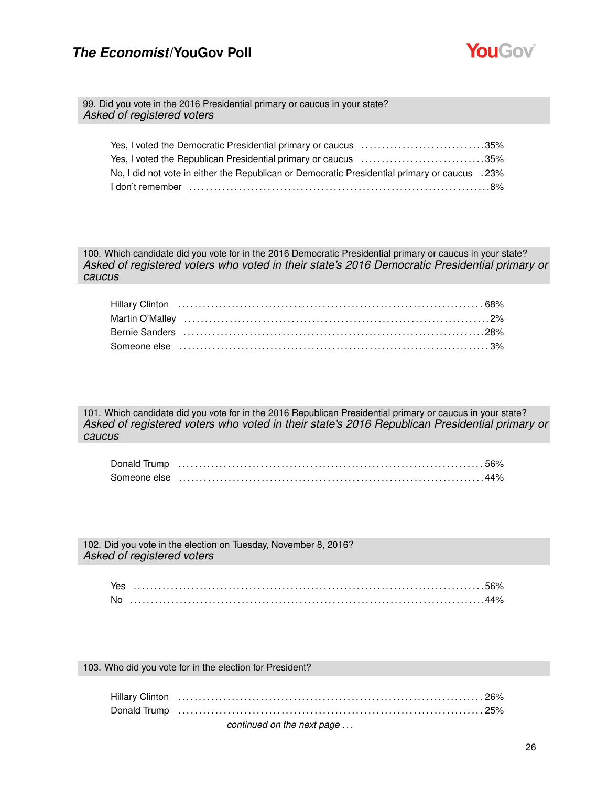

99. Did you vote in the 2016 Presidential primary or caucus in your state? *Asked of registered voters*

| Yes, I voted the Democratic Presidential primary or caucus 35%                                |  |
|-----------------------------------------------------------------------------------------------|--|
| Yes, I voted the Republican Presidential primary or caucus 35%                                |  |
| 23%. No, I did not vote in either the Republican or Democratic Presidential primary or caucus |  |
|                                                                                               |  |

100. Which candidate did you vote for in the 2016 Democratic Presidential primary or caucus in your state? *Asked of registered voters who voted in their state's 2016 Democratic Presidential primary or caucus*

| Bernie Sanders (and the continuum of the control of the control of the control of the control of the control o |
|----------------------------------------------------------------------------------------------------------------|
|                                                                                                                |

101. Which candidate did you vote for in the 2016 Republican Presidential primary or caucus in your state? *Asked of registered voters who voted in their state's 2016 Republican Presidential primary or caucus*

102. Did you vote in the election on Tuesday, November 8, 2016? *Asked of registered voters*

| No. |  |
|-----|--|

103. Who did you vote for in the election for President?

| continued on the next page |
|----------------------------|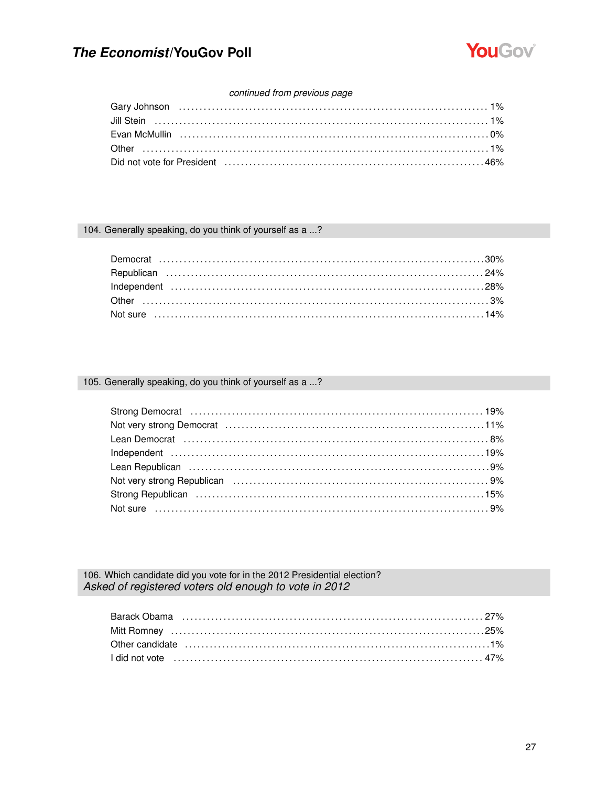

### continued from previous page

### 104. Generally speaking, do you think of yourself as a ...?

### 105. Generally speaking, do you think of yourself as a ...?

106. Which candidate did you vote for in the 2012 Presidential election? Asked of registered voters old enough to vote in 2012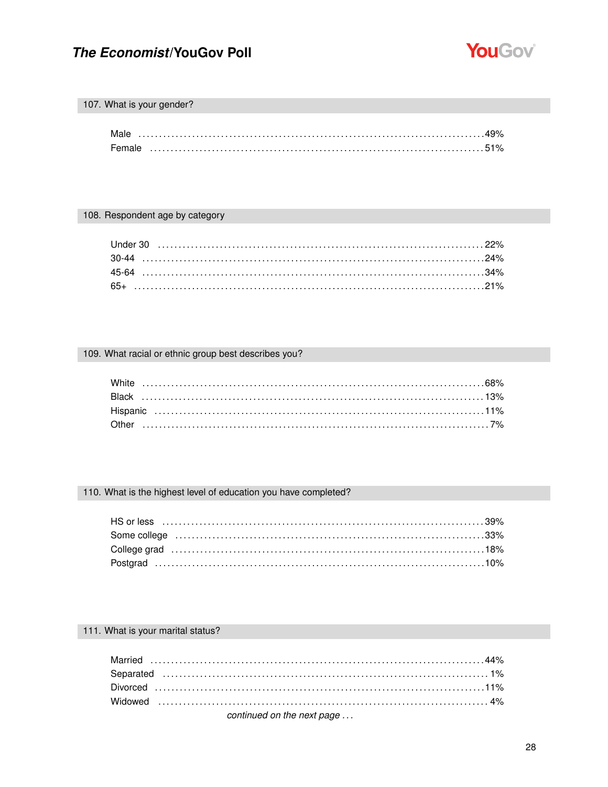

## 107. What is your gender?

| Male   |  |
|--------|--|
| Female |  |

### 108. Respondent age by category

### 109. What racial or ethnic group best describes you?

# 110. What is the highest level of education you have completed?

### 111. What is your marital status?

| 1000 - 1000 - 1000 - 1000 - 1000 - 1000 - 1000 - 1000 - 1000 - 1000 - 1000 - 1000 - 1000 - 1000 - 1000 - 1000 - 1000 - 1000 - 1000 - 1000 - 1000 - 1000 - 1000 - 1000 - 1000 - 1000 - 1000 - 1000 - 1000 - 1000 - 1000 - 100 |  |
|------------------------------------------------------------------------------------------------------------------------------------------------------------------------------------------------------------------------------|--|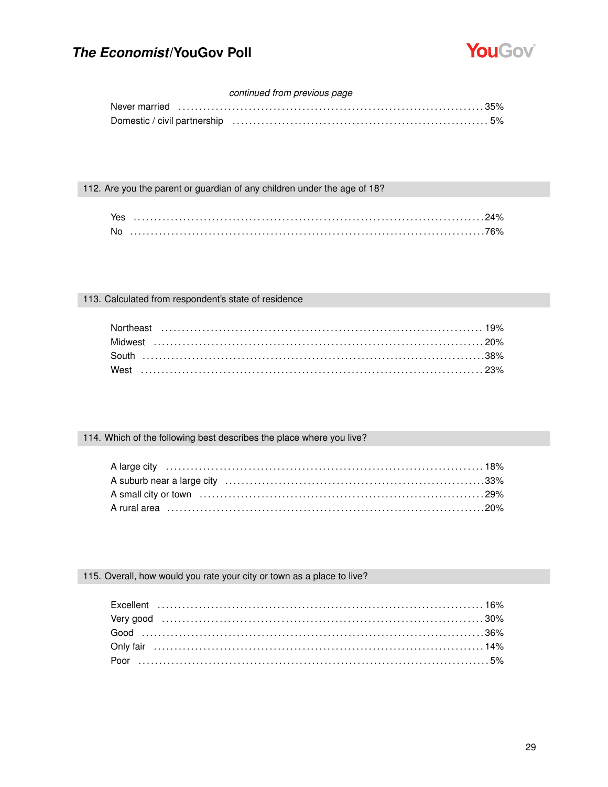

### continued from previous page

### 112. Are you the parent or guardian of any children under the age of 18?

| . No |  |
|------|--|

### 113. Calculated from respondent's state of residence

### 114. Which of the following best describes the place where you live?

### 115. Overall, how would you rate your city or town as a place to live?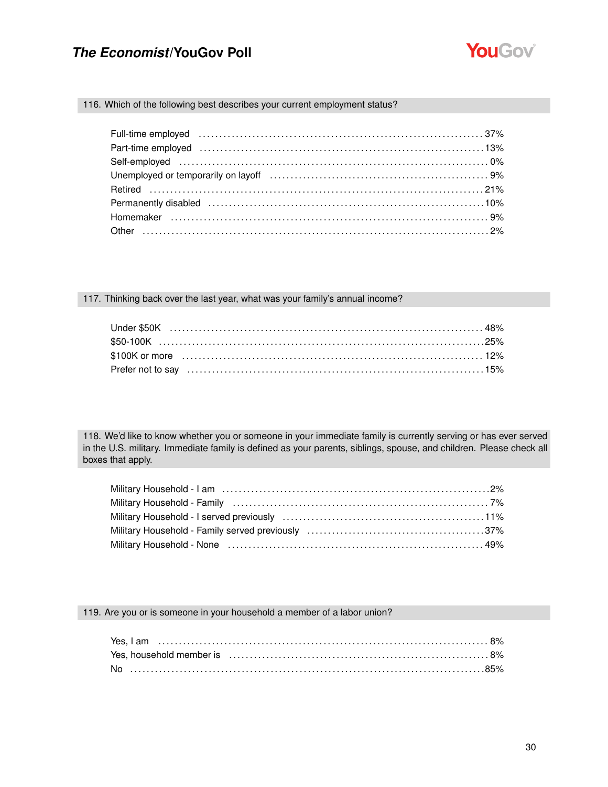

### 116. Which of the following best describes your current employment status?

| Full-time employed (and according to the control of the control of the control of the control of the control of the control of the control of the control of the control of the control of the control of the control of the c |  |
|--------------------------------------------------------------------------------------------------------------------------------------------------------------------------------------------------------------------------------|--|
| Part-time employed (and according continuum and and according to the control of the control of the control of the control of the control of the control of the control of the control of the control of the control of the con |  |
|                                                                                                                                                                                                                                |  |
|                                                                                                                                                                                                                                |  |
|                                                                                                                                                                                                                                |  |
|                                                                                                                                                                                                                                |  |
|                                                                                                                                                                                                                                |  |
|                                                                                                                                                                                                                                |  |

#### 117. Thinking back over the last year, what was your family's annual income?

118. We'd like to know whether you or someone in your immediate family is currently serving or has ever served in the U.S. military. Immediate family is defined as your parents, siblings, spouse, and children. Please check all boxes that apply.

| Military Household - Family (all contains and contained all contained and the 7%                                                                                                                                               |  |
|--------------------------------------------------------------------------------------------------------------------------------------------------------------------------------------------------------------------------------|--|
|                                                                                                                                                                                                                                |  |
|                                                                                                                                                                                                                                |  |
| Military Household - None (all accordinations) with the Military Household - None (all according to the Military Military Military Military Military Military Military Military Military Military Military Military Military M |  |

#### 119. Are you or is someone in your household a member of a labor union?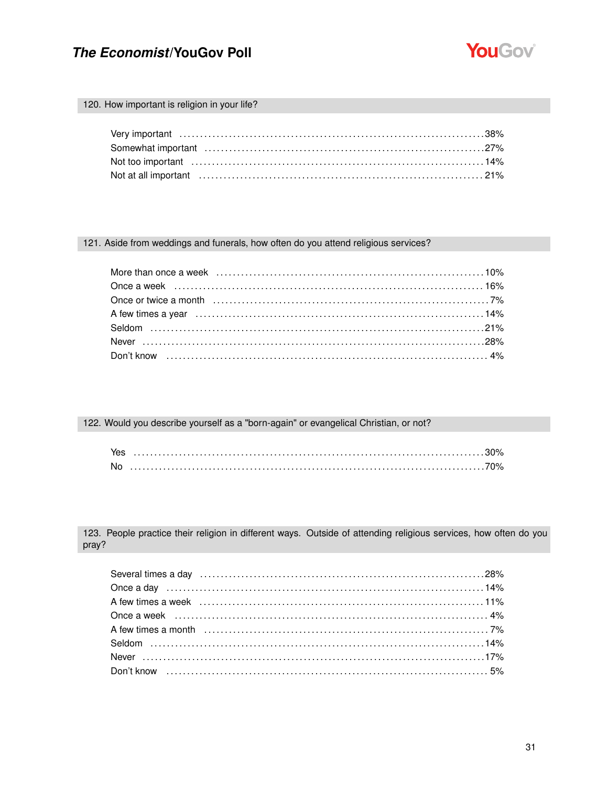

### 120. How important is religion in your life?

### 121. Aside from weddings and funerals, how often do you attend religious services?

### 122. Would you describe yourself as a "born-again" or evangelical Christian, or not?

| Yes |  |
|-----|--|
| No  |  |

123. People practice their religion in different ways. Outside of attending religious services, how often do you pray?